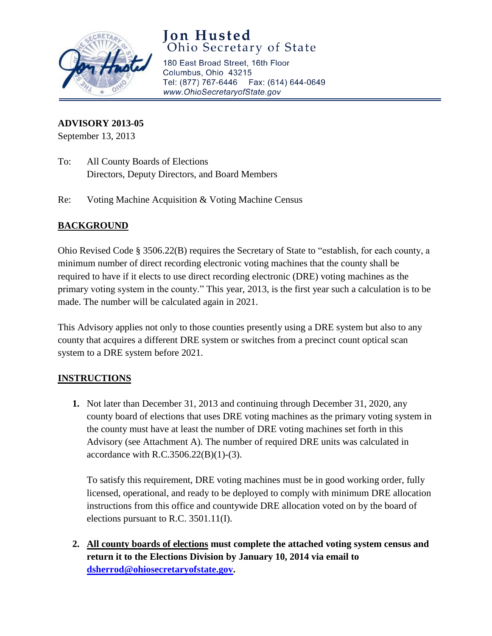

# **Jon Husted** Ohio Secretary of State

180 East Broad Street, 16th Floor Columbus, Ohio 43215 Tel: (877) 767-6446 Fax: (614) 644-0649 www.OhioSecretaryofState.gov

#### **ADVISORY 2013-05**

September 13, 2013

- To: All County Boards of Elections Directors, Deputy Directors, and Board Members
- Re: Voting Machine Acquisition & Voting Machine Census

### **BACKGROUND**

Ohio Revised Code § 3506.22(B) requires the Secretary of State to "establish, for each county, a minimum number of direct recording electronic voting machines that the county shall be required to have if it elects to use direct recording electronic (DRE) voting machines as the primary voting system in the county." This year, 2013, is the first year such a calculation is to be made. The number will be calculated again in 2021.

This Advisory applies not only to those counties presently using a DRE system but also to any county that acquires a different DRE system or switches from a precinct count optical scan system to a DRE system before 2021.

#### **INSTRUCTIONS**

**1.** Not later than December 31, 2013 and continuing through December 31, 2020, any county board of elections that uses DRE voting machines as the primary voting system in the county must have at least the number of DRE voting machines set forth in this Advisory (see Attachment A). The number of required DRE units was calculated in accordance with R.C.3506.22(B)(1)-(3).

To satisfy this requirement, DRE voting machines must be in good working order, fully licensed, operational, and ready to be deployed to comply with minimum DRE allocation instructions from this office and countywide DRE allocation voted on by the board of elections pursuant to R.C. 3501.11(I).

**2. All county boards of elections must complete the attached voting system census and return it to the Elections Division by January 10, 2014 via email to [dsherrod@ohiosecretaryofstate.gov.](mailto:dsherrod@ohiosecretaryofstate.gov)**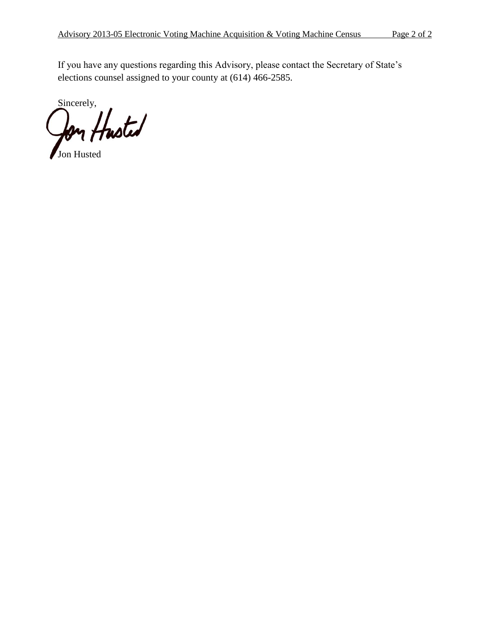If you have any questions regarding this Advisory, please contact the Secretary of State's elections counsel assigned to your county at (614) 466-2585.

Sincerely, **Jon** Husted

Jon Husted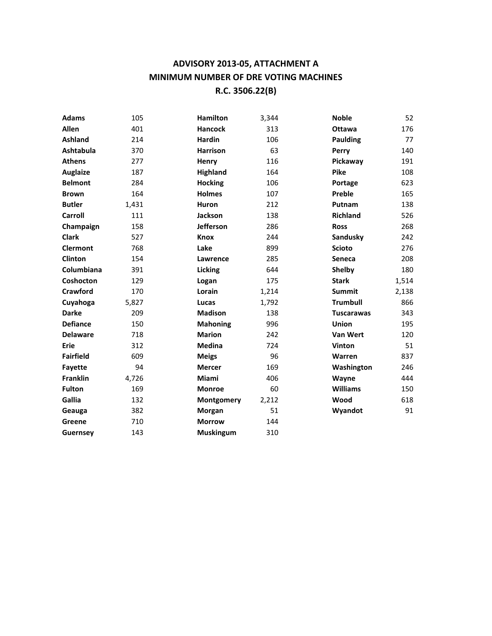## **ADVISORY 2013-05, ATTACHMENT A MINIMUM NUMBER OF DRE VOTING MACHINES R.C. 3506.22(B)**

| <b>Adams</b>     | 105   | <b>Hamilton</b>  | 3,344 | <b>Noble</b>      | 52    |
|------------------|-------|------------------|-------|-------------------|-------|
| Allen            | 401   | <b>Hancock</b>   | 313   | <b>Ottawa</b>     | 176   |
| <b>Ashland</b>   | 214   | <b>Hardin</b>    | 106   | <b>Paulding</b>   | 77    |
| <b>Ashtabula</b> | 370   | <b>Harrison</b>  | 63    | Perry             | 140   |
| <b>Athens</b>    | 277   | Henry            | 116   | Pickaway          | 191   |
| <b>Auglaize</b>  | 187   | <b>Highland</b>  | 164   | <b>Pike</b>       | 108   |
| <b>Belmont</b>   | 284   | <b>Hocking</b>   | 106   | Portage           | 623   |
| <b>Brown</b>     | 164   | <b>Holmes</b>    | 107   | Preble            | 165   |
| <b>Butler</b>    | 1,431 | <b>Huron</b>     | 212   | Putnam            | 138   |
| <b>Carroll</b>   | 111   | <b>Jackson</b>   | 138   | <b>Richland</b>   | 526   |
| Champaign        | 158   | <b>Jefferson</b> | 286   | <b>Ross</b>       | 268   |
| <b>Clark</b>     | 527   | <b>Knox</b>      | 244   | Sandusky          | 242   |
| <b>Clermont</b>  | 768   | Lake             | 899   | <b>Scioto</b>     | 276   |
| <b>Clinton</b>   | 154   | Lawrence         | 285   | Seneca            | 208   |
| Columbiana       | 391   | Licking          | 644   | Shelby            | 180   |
| Coshocton        | 129   | Logan            | 175   | <b>Stark</b>      | 1,514 |
| Crawford         | 170   | Lorain           | 1,214 | <b>Summit</b>     | 2,138 |
| Cuyahoga         | 5,827 | Lucas            | 1,792 | <b>Trumbull</b>   | 866   |
| <b>Darke</b>     | 209   | <b>Madison</b>   | 138   | <b>Tuscarawas</b> | 343   |
| <b>Defiance</b>  | 150   | <b>Mahoning</b>  | 996   | <b>Union</b>      | 195   |
| <b>Delaware</b>  | 718   | <b>Marion</b>    | 242   | <b>Van Wert</b>   | 120   |
| Erie             | 312   | Medina           | 724   | <b>Vinton</b>     | 51    |
| <b>Fairfield</b> | 609   | <b>Meigs</b>     | 96    | <b>Warren</b>     | 837   |
| Fayette          | 94    | <b>Mercer</b>    | 169   | Washington        | 246   |
| <b>Franklin</b>  | 4,726 | Miami            | 406   | Wayne             | 444   |
| <b>Fulton</b>    | 169   | <b>Monroe</b>    | 60    | <b>Williams</b>   | 150   |
| Gallia           | 132   | Montgomery       | 2,212 | Wood              | 618   |
| Geauga           | 382   | Morgan           | 51    | Wyandot           | 91    |
| Greene           | 710   | <b>Morrow</b>    | 144   |                   |       |
| Guernsey         | 143   | <b>Muskingum</b> | 310   |                   |       |